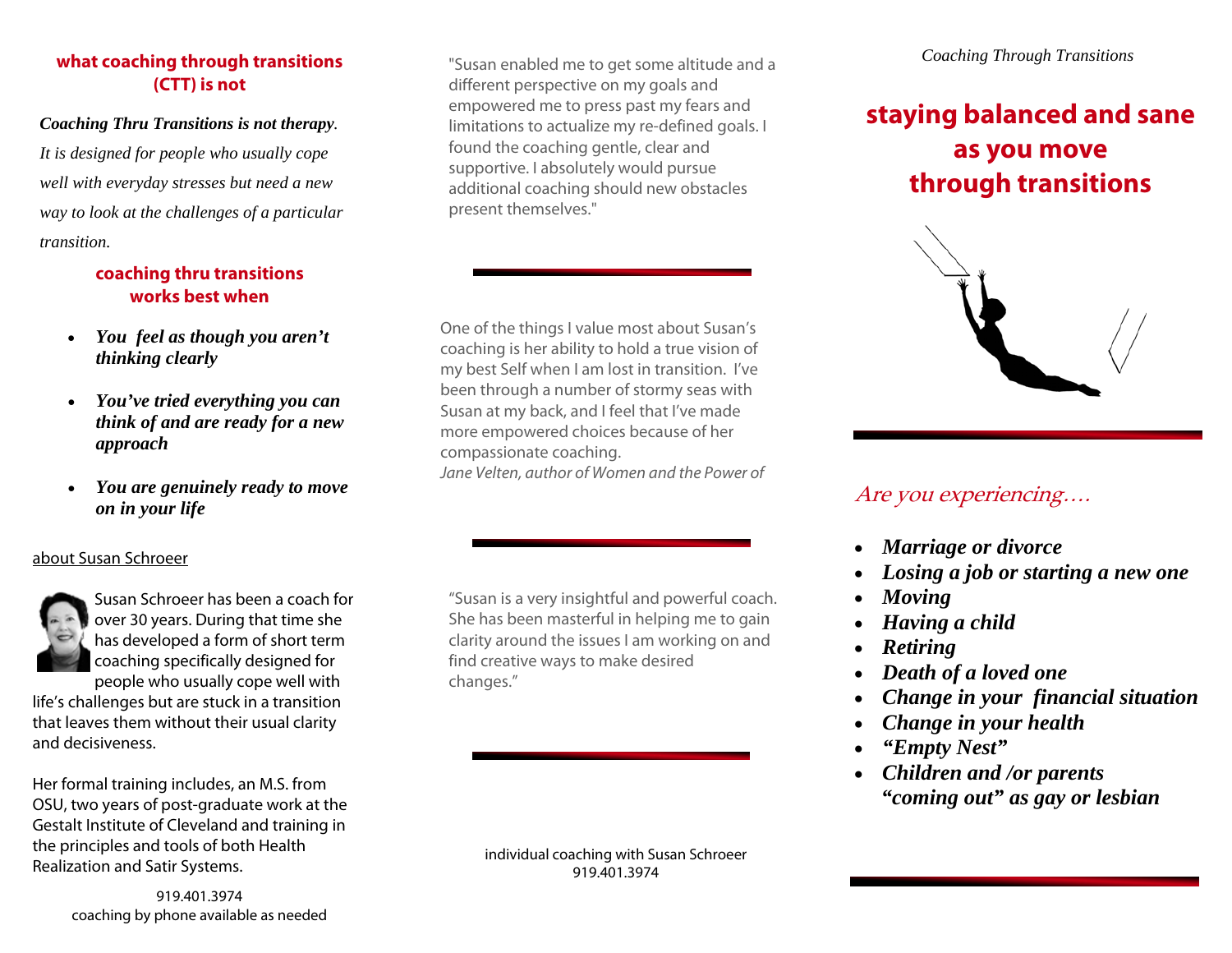## **what coaching through transitions (CTT) is not**

### *Coaching Thru Transitions is not therapy.*

*It is designed for people who usually cope well with everyday stresses but need a new way to look at the challenges of a particular transition.*

## **coaching thru transitions works best when**

- *You feel as though you aren't thinking clearly*
- *You've tried everything you can think of and are ready for a new approach*
- *You are genuinely ready to move on in your life*

## about Susan Schroeer



Susan Schroeer has been a coach for over 30 years. During that time she has developed a form of short term coaching specifically designed for people who usually cope well with

life's challenges but are stuck in a transition that leaves them without their usual clarity and decisiveness.

Her formal training includes, an M.S. from OSU, two years of post-graduate work at the Gestalt Institute of Cleveland and training in the principles and tools of both Health Realization and Satir Systems.

> 919.401.3974 coaching by phone available as needed

"Susan enabled me to get some altitude and a different perspective on my goals and empowered me to press past my fears and limitations to actualize my re-defined goals. I found the coaching gentle, clear and supportive. I absolutely would pursue additional coaching should new obstacles present themselves."

One of the things I value most about Susan's coaching is her ability to hold a true vision of my best Self when I am lost in transition. I've been through a number of stormy seas with Susan at my back, and I feel that I've made more empowered choices because of her compassionate coaching. Jane Velten, author of Women and the Power of

"Susan is a very insightful and powerful coach. She has been masterful in helping me to gain clarity around the issues I am working on and find creative ways to make desired changes."

> individual coaching with Susan Schroeer 919.401.3974

# **staying balanced and sane as you move through transitions**



## Are you experiencing….

- *Marriage or divorce*
- *Losing a job or starting a new one*
- *Moving*
- *Having a child*
- *Retiring*
- *Death of a loved one*
- *Change in your financial situation*
- *Change in your health*
- *"Empty Nest"*
- *Children and /or parents "coming out" as gay or lesbian*